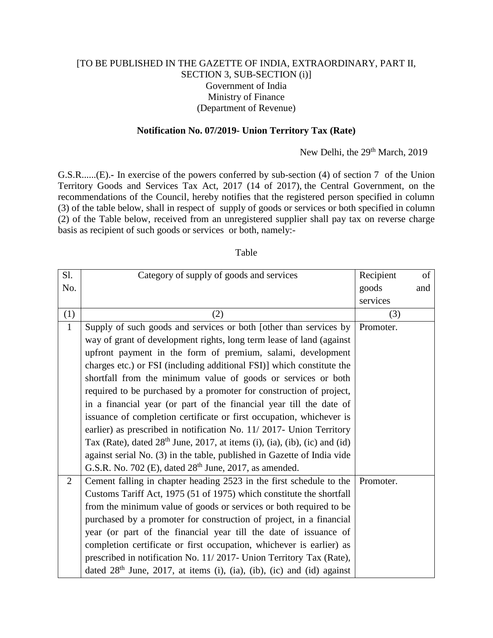## [TO BE PUBLISHED IN THE GAZETTE OF INDIA, EXTRAORDINARY, PART II, SECTION 3, SUB-SECTION (i)] Government of India Ministry of Finance (Department of Revenue)

## **Notification No. 07/2019- Union Territory Tax (Rate)**

## New Delhi, the 29<sup>th</sup> March, 2019

G.S.R......(E).**-** In exercise of the powers conferred by sub-section (4) of section 7 of the Union Territory Goods and Services Tax Act, 2017 (14 of 2017), the Central Government, on the recommendations of the Council, hereby notifies that the registered person specified in column (3) of the table below, shall in respect of supply of goods or services or both specified in column (2) of the Table below, received from an unregistered supplier shall pay tax on reverse charge basis as recipient of such goods or services or both, namely:-

## Table

| Sl.            | Category of supply of goods and services                                     | Recipient | of  |
|----------------|------------------------------------------------------------------------------|-----------|-----|
| No.            |                                                                              | goods     | and |
|                |                                                                              | services  |     |
| (1)            | (2)                                                                          | (3)       |     |
| $\mathbf{1}$   | Supply of such goods and services or both [other than services by            | Promoter. |     |
|                | way of grant of development rights, long term lease of land (against         |           |     |
|                | upfront payment in the form of premium, salami, development                  |           |     |
|                | charges etc.) or FSI (including additional FSI)] which constitute the        |           |     |
|                | shortfall from the minimum value of goods or services or both                |           |     |
|                | required to be purchased by a promoter for construction of project,          |           |     |
|                | in a financial year (or part of the financial year till the date of          |           |     |
|                | issuance of completion certificate or first occupation, whichever is         |           |     |
|                | earlier) as prescribed in notification No. 11/2017- Union Territory          |           |     |
|                | Tax (Rate), dated $28th$ June, 2017, at items (i), (ia), (ib), (ic) and (id) |           |     |
|                | against serial No. (3) in the table, published in Gazette of India vide      |           |     |
|                | G.S.R. No. 702 (E), dated $28th$ June, 2017, as amended.                     |           |     |
| $\overline{2}$ | Cement falling in chapter heading 2523 in the first schedule to the          | Promoter. |     |
|                | Customs Tariff Act, 1975 (51 of 1975) which constitute the shortfall         |           |     |
|                | from the minimum value of goods or services or both required to be           |           |     |
|                | purchased by a promoter for construction of project, in a financial          |           |     |
|                | year (or part of the financial year till the date of issuance of             |           |     |
|                | completion certificate or first occupation, whichever is earlier) as         |           |     |
|                | prescribed in notification No. 11/2017- Union Territory Tax (Rate),          |           |     |
|                | dated $28th$ June, 2017, at items (i), (ia), (ib), (ic) and (id) against     |           |     |